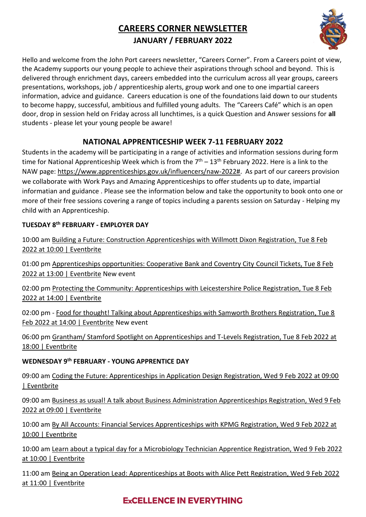# **CAREERS CORNER NEWSLETTER JANUARY / FEBRUARY 2022**



Hello and welcome from the John Port careers newsletter, "Careers Corner". From a Careers point of view, the Academy supports our young people to achieve their aspirations through school and beyond. This is delivered through enrichment days, careers embedded into the curriculum across all year groups, careers presentations, workshops, job / apprenticeship alerts, group work and one to one impartial careers information, advice and guidance. Careers education is one of the foundations laid down to our students to become happy, successful, ambitious and fulfilled young adults. The "Careers Café" which is an open door, drop in session held on Friday across all lunchtimes, is a quick Question and Answer sessions for **all** students - please let your young people be aware!

## **NATIONAL APPRENTICESHIP WEEK 7-11 FEBRUARY 2022**

Students in the academy will be participating in a range of activities and information sessions during form time for National Apprenticeship Week which is from the  $7<sup>th</sup> - 13<sup>th</sup>$  February 2022. Here is a link to the NAW page[: https://www.apprenticeships.gov.uk/influencers/naw-2022#.](https://www.apprenticeships.gov.uk/influencers/naw-2022) As part of our careers provision we collaborate with Work Pays and Amazing Apprenticeships to offer students up to date, impartial informatian and guidance . Please see the information below and take the opportunity to book onto one or more of their free sessions covering a range of topics including a parents session on Saturday - Helping my child with an Apprenticeship.

### **TUESDAY 8th FEBRUARY - EMPLOYER DAY**

10:00 am [Building a Future: Construction Apprenticeships with Willmott Dixon Registration, Tue 8 Feb](https://www.eventbrite.co.uk/e/building-a-future-construction-apprenticeships-with-willmott-dixon-registration-245786573257)  [2022 at 10:00 | Eventbrite](https://www.eventbrite.co.uk/e/building-a-future-construction-apprenticeships-with-willmott-dixon-registration-245786573257)

01:00 pm [Apprenticeships opportunities: Cooperative Bank and Coventry City Council Tickets, Tue 8 Feb](https://www.eventbrite.co.uk/e/apprenticeships-opportunities-cooperative-bank-and-coventry-city-council-tickets-259044187137)  [2022 at 13:00 | Eventbrite](https://www.eventbrite.co.uk/e/apprenticeships-opportunities-cooperative-bank-and-coventry-city-council-tickets-259044187137) New event

02:00 pm Protecting the Community: Apprenticeships with Leicestershire Police Registration, Tue 8 Feb [2022 at 14:00 | Eventbrite](https://www.eventbrite.co.uk/e/protecting-the-community-apprenticeships-with-leicestershire-police-registration-242969727997) 

02:00 pm - [Food for thought! Talking about Apprenticeships with Samworth Brothers Registration, Tue 8](https://www.eventbrite.co.uk/e/food-for-thought-talking-about-apprenticeships-with-samworth-brothers-registration-260172090727)  [Feb 2022 at 14:00 | Eventbrite](https://www.eventbrite.co.uk/e/food-for-thought-talking-about-apprenticeships-with-samworth-brothers-registration-260172090727) New event

06:00 pm [Grantham/ Stamford Spotlight on Apprenticeships and T-Levels Registration, Tue 8 Feb 2022 at](https://www.eventbrite.co.uk/e/grantham-stamford-spotlight-on-apprenticeships-and-t-levels-registration-256692613517)  [18:00 | Eventbrite](https://www.eventbrite.co.uk/e/grantham-stamford-spotlight-on-apprenticeships-and-t-levels-registration-256692613517)

## **WEDNESDAY 9th FEBRUARY - YOUNG APPRENTICE DAY**

09:00 am [Coding the Future: Apprenticeships in Application Design Registration, Wed 9 Feb 2022 at 09:00](https://www.eventbrite.co.uk/e/coding-the-future-apprenticeships-in-application-design-registration-250058460587)  [| Eventbrite](https://www.eventbrite.co.uk/e/coding-the-future-apprenticeships-in-application-design-registration-250058460587)

09:00 am [Business as usual! A talk about Business Administration Apprenticeships Registration, Wed 9 Feb](https://www.eventbrite.co.uk/e/business-as-usual-a-talk-about-business-administration-apprenticeships-registration-256018266527)  [2022 at 09:00 | Eventbrite](https://www.eventbrite.co.uk/e/business-as-usual-a-talk-about-business-administration-apprenticeships-registration-256018266527)

10:00 am [By All Accounts: Financial Services Apprenticeships with KPMG Registration, Wed 9 Feb 2022 at](https://www.eventbrite.co.uk/e/by-all-accounts-financial-services-apprenticeships-with-kpmg-registration-245876181277)  [10:00 | Eventbrite](https://www.eventbrite.co.uk/e/by-all-accounts-financial-services-apprenticeships-with-kpmg-registration-245876181277)

10:00 am [Learn about a typical day for a Microbiology Technician Apprentice Registration, Wed 9 Feb 2022](https://www.eventbrite.co.uk/e/learn-about-a-typical-day-for-a-microbiology-technician-apprentice-registration-245907805867)  at [10:00 | Eventbrite](https://www.eventbrite.co.uk/e/learn-about-a-typical-day-for-a-microbiology-technician-apprentice-registration-245907805867)

11:00 am [Being an Operation Lead: Apprenticeships at Boots with Alice Pett Registration, Wed 9 Feb](https://www.eventbrite.co.uk/e/being-an-operation-lead-apprenticeships-at-boots-with-alice-pett-registration-255995759207) 2022 [at 11:00 | Eventbrite](https://www.eventbrite.co.uk/e/being-an-operation-lead-apprenticeships-at-boots-with-alice-pett-registration-255995759207)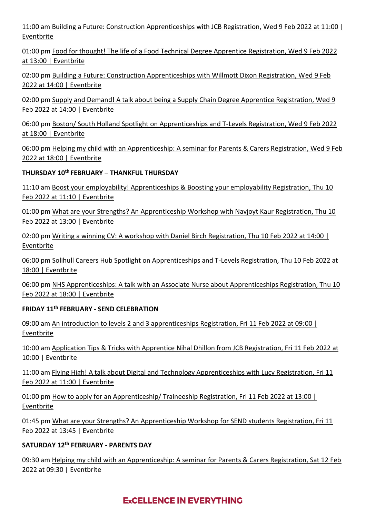11:00 am [Building a Future: Construction Apprenticeships with JCB Registration, Wed 9 Feb 2022 at 11:00 |](https://www.eventbrite.co.uk/e/building-a-future-construction-apprenticeships-with-jcb-registration-256079690247)  [Eventbrite](https://www.eventbrite.co.uk/e/building-a-future-construction-apprenticeships-with-jcb-registration-256079690247)

01:00 pm [Food for thought! The life of a Food Technical Degree Apprentice Registration, Wed 9 Feb 2022](https://www.eventbrite.co.uk/e/food-for-thought-the-life-of-a-food-technical-degree-apprentice-registration-256112207507)  [at 13:00 | Eventbrite](https://www.eventbrite.co.uk/e/food-for-thought-the-life-of-a-food-technical-degree-apprentice-registration-256112207507)

02:00 pm [Building a Future: Construction Apprenticeships with Willmott Dixon Registration, Wed 9 Feb](https://www.eventbrite.co.uk/e/building-a-future-construction-apprenticeships-with-willmott-dixon-registration-245810775647)  [2022 at 14:00 | Eventbrite](https://www.eventbrite.co.uk/e/building-a-future-construction-apprenticeships-with-willmott-dixon-registration-245810775647)

02:00 pm [Supply and Demand! A talk about being a Supply Chain Degree Apprentice Registration, Wed 9](https://www.eventbrite.co.uk/e/supply-and-demand-a-talk-about-being-a-supply-chain-degree-apprentice-registration-256139790007)  [Feb 2022 at 14:00 | Eventbrite](https://www.eventbrite.co.uk/e/supply-and-demand-a-talk-about-being-a-supply-chain-degree-apprentice-registration-256139790007)

06:00 pm [Boston/ South Holland Spotlight on Apprenticeships and T-Levels Registration, Wed 9 Feb 2022](https://www.eventbrite.co.uk/e/boston-south-holland-spotlight-on-apprenticeships-and-t-levels-registration-256695050807)  [at 18:00 | Eventbrite](https://www.eventbrite.co.uk/e/boston-south-holland-spotlight-on-apprenticeships-and-t-levels-registration-256695050807)

06:00 pm [Helping my child with an Apprenticeship: A seminar for Parents & Carers Registration, Wed 9 Feb](https://www.eventbrite.co.uk/e/helping-my-child-with-an-apprenticeship-a-seminar-for-parents-carers-registration-256718641367)  [2022 at 18:00 | Eventbrite](https://www.eventbrite.co.uk/e/helping-my-child-with-an-apprenticeship-a-seminar-for-parents-carers-registration-256718641367)

### **THURSDAY 10th FEBRUARY – THANKFUL THURSDAY**

11:10 am [Boost your employability! Apprenticeships & Boosting your employability Registration, Thu 10](https://www.eventbrite.co.uk/e/boost-your-employability-apprenticeships-boosting-your-employability-registration-242682268197)  [Feb 2022 at 11:10 | Eventbrite](https://www.eventbrite.co.uk/e/boost-your-employability-apprenticeships-boosting-your-employability-registration-242682268197)

01:00 pm [What are your Strengths? An Apprenticeship Workshop with Navjoyt Kaur Registration, Thu 10](https://www.eventbrite.co.uk/e/what-are-your-strengths-an-apprenticeship-workshop-with-navjoyt-kaur-registration-242721355107)  [Feb 2022 at 13:00 | Eventbrite](https://www.eventbrite.co.uk/e/what-are-your-strengths-an-apprenticeship-workshop-with-navjoyt-kaur-registration-242721355107)

02:00 pm [Writing a winning CV: A workshop with Daniel Birch Registration, Thu 10 Feb 2022 at 14:00 |](https://www.eventbrite.co.uk/e/writing-a-winning-cv-a-workshop-with-daniel-birch-registration-242749689857)  [Eventbrite](https://www.eventbrite.co.uk/e/writing-a-winning-cv-a-workshop-with-daniel-birch-registration-242749689857)

06:00 pm [Solihull Careers Hub Spotlight on Apprenticeships and T-Levels Registration, Thu 10 Feb 2022 at](https://www.eventbrite.co.uk/e/solihull-careers-hub-spotlight-on-apprenticeships-and-t-levels-registration-250177536747)  [18:00 | Eventbrite](https://www.eventbrite.co.uk/e/solihull-careers-hub-spotlight-on-apprenticeships-and-t-levels-registration-250177536747)

06:00 pm NHS Apprenticeships: A talk with an Associate Nurse about Apprenticeships Registration, Thu 10 [Feb 2022 at 18:00 | Eventbrite](https://www.eventbrite.co.uk/e/nhs-apprenticeships-a-talk-with-an-associate-nurse-about-apprenticeships-registration-257926213247)

#### **FRIDAY 11th FEBRUARY - SEND CELEBRATION**

09:00 am [An introduction to levels 2 and 3 apprenticeships Registration, Fri 11 Feb 2022 at 09:00 |](https://www.eventbrite.co.uk/e/an-introduction-to-levels-2-and-3-apprenticeships-registration-256890916647)  [Eventbrite](https://www.eventbrite.co.uk/e/an-introduction-to-levels-2-and-3-apprenticeships-registration-256890916647)

10:00 am [Application Tips & Tricks with Apprentice Nihal Dhillon from JCB Registration, Fri 11 Feb 2022 at](https://www.eventbrite.co.uk/e/application-tips-tricks-with-apprentice-nihal-dhillon-from-jcb-registration-256941788807?aff=ebdssbonlinesearch)  [10:00 | Eventbrite](https://www.eventbrite.co.uk/e/application-tips-tricks-with-apprentice-nihal-dhillon-from-jcb-registration-256941788807?aff=ebdssbonlinesearch)

11:00 am [Flying High! A talk about Digital and Technology Apprenticeships with Lucy Registration, Fri 11](https://www.eventbrite.co.uk/e/flying-high-a-talk-about-digital-and-technology-apprenticeships-with-lucy-registration-250022111867?aff=ebdssbonlinesearch)  [Feb 2022 at 11:00 | Eventbrite](https://www.eventbrite.co.uk/e/flying-high-a-talk-about-digital-and-technology-apprenticeships-with-lucy-registration-250022111867?aff=ebdssbonlinesearch)

01:00 pm [How to apply for an Apprenticeship/ Traineeship Registration, Fri 11 Feb 2022 at 13:00 |](https://www.eventbrite.co.uk/e/how-to-apply-for-an-apprenticeship-traineeship-registration-256987776357?aff=ebdssbonlinesearch)  [Eventbrite](https://www.eventbrite.co.uk/e/how-to-apply-for-an-apprenticeship-traineeship-registration-256987776357?aff=ebdssbonlinesearch)

01:45 pm [What are your Strengths? An Apprenticeship Workshop for SEND students Registration, Fri 11](https://www.eventbrite.co.uk/e/what-are-your-strengths-an-apprenticeship-workshop-for-send-students-registration-257893986857)  [Feb 2022 at 13:45 | Eventbrite](https://www.eventbrite.co.uk/e/what-are-your-strengths-an-apprenticeship-workshop-for-send-students-registration-257893986857)

#### **SATURDAY 12th FEBRUARY - PARENTS DAY**

09:30 am [Helping my child with an Apprenticeship: A seminar for Parents & Carers Registration, Sat 12 Feb](https://www.eventbrite.co.uk/e/helping-my-child-with-an-apprenticeship-a-seminar-for-parents-carers-registration-245863172367)  [2022 at 09:30 | Eventbrite](https://www.eventbrite.co.uk/e/helping-my-child-with-an-apprenticeship-a-seminar-for-parents-carers-registration-245863172367)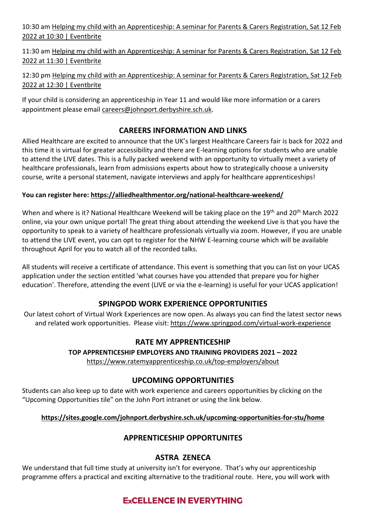10:30 am [Helping my child with an Apprenticeship: A seminar for Parents & Carers Registration, Sat 12 Feb](https://www.eventbrite.co.uk/e/helping-my-child-with-an-apprenticeship-a-seminar-for-parents-carers-registration-256763415287)  [2022 at 10:30 | Eventbrite](https://www.eventbrite.co.uk/e/helping-my-child-with-an-apprenticeship-a-seminar-for-parents-carers-registration-256763415287)

11:30 am [Helping my child with an Apprenticeship: A seminar for Parents & Carers Registration, Sat 12 Feb](https://www.eventbrite.co.uk/e/helping-my-child-with-an-apprenticeship-a-seminar-for-parents-carers-registration-256786835337)  [2022 at 11:30 | Eventbrite](https://www.eventbrite.co.uk/e/helping-my-child-with-an-apprenticeship-a-seminar-for-parents-carers-registration-256786835337)

12:30 pm Helping my child with an Apprenticeship: A seminar for Parents & Carers Registration, Sat 12 Feb [2022 at 12:30 | Eventbrite](https://www.eventbrite.co.uk/e/helping-my-child-with-an-apprenticeship-a-seminar-for-parents-carers-registration-256787868427)

If your child is considering an apprenticeship in Year 11 and would like more information or a carers appointment please email [careers@johnport.derbyshire.sch.uk.](mailto:careers@johnport.derbyshire.sch.uk)

# **CAREERS INFORMATION AND LINKS**

Allied Healthcare are excited to announce that the UK's largest Healthcare Careers fair is back for 2022 and this time it is virtual for greater accessibility and there are E-learning options for students who are unable to attend the LIVE dates. This is a fully packed weekend with an opportunity to virtually meet a variety of healthcare professionals, learn from admissions experts about how to strategically choose a university course, write a personal statement, navigate interviews and apply for healthcare apprenticeships!

### **You can register here:<https://alliedhealthmentor.org/national-healthcare-weekend/>**

When and where is it? National Healthcare Weekend will be taking place on the 19<sup>th</sup> and 20<sup>th</sup> March 2022 online, via your own unique portal! The great thing about attending the weekend Live is that you have the opportunity to speak to a variety of healthcare professionals virtually via zoom. However, if you are unable to attend the LIVE event, you can opt to register for the NHW E-learning course which will be available throughout April for you to watch all of the recorded talks.

All students will receive a certificate of attendance. This event is something that you can list on your UCAS application under the section entitled 'what courses have you attended that prepare you for higher education'. Therefore, attending the event (LIVE or via the e-learning) is useful for your UCAS application!

# **SPINGPOD WORK EXPERIENCE OPPORTUNITIES**

Our latest cohort of Virtual Work Experiences are now open. As always you can find the latest sector news and related work opportunities. Please visit:<https://www.springpod.com/virtual-work-experience>

# **RATE MY APPRENTICESHIP**

## **TOP APPRENTICESHIP EMPLOYERS AND TRAINING PROVIDERS 2021 – 2022**

<https://www.ratemyapprenticeship.co.uk/top-employers/about>

# **UPCOMING OPPORTUNITIES**

Students can also keep up to date with work experience and careers opportunities by clicking on the "Upcoming Opportunities tile" on the John Port intranet or using the link below.

## **<https://sites.google.com/johnport.derbyshire.sch.uk/upcoming-opportunities-for-stu/home>**

# **APPRENTICESHIP OPPORTUNITES**

# **ASTRA ZENECA**

We understand that full time study at university isn't for everyone. That's why our apprenticeship programme offers a practical and exciting alternative to the traditional route. Here, you will work with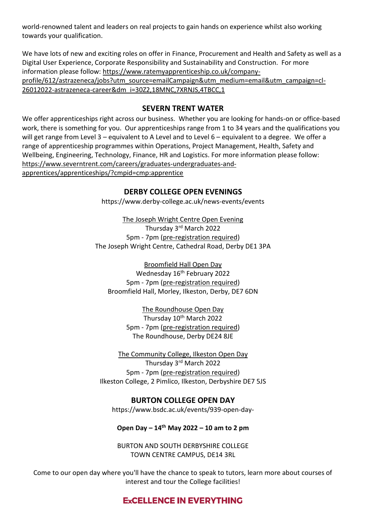world-renowned talent and leaders on real projects to gain hands on experience whilst also working towards your qualification.

We have lots of new and exciting roles on offer in Finance, Procurement and Health and Safety as well as a Digital User Experience, Corporate Responsibility and Sustainability and Construction. For more information please follow: [https://www.ratemyapprenticeship.co.uk/company](https://www.ratemyapprenticeship.co.uk/company-profile/612/astrazeneca/jobs?utm_source=emailCampaign&utm_medium=email&utm_campaign=cl-26012022-astrazeneca-career&dm_i=30Z2,18MNC,7XRNJS,4TBCC,1)[profile/612/astrazeneca/jobs?utm\\_source=emailCampaign&utm\\_medium=email&utm\\_campaign=cl-](https://www.ratemyapprenticeship.co.uk/company-profile/612/astrazeneca/jobs?utm_source=emailCampaign&utm_medium=email&utm_campaign=cl-26012022-astrazeneca-career&dm_i=30Z2,18MNC,7XRNJS,4TBCC,1)[26012022-astrazeneca-career&dm\\_i=30Z2,18MNC,7XRNJS,4TBCC,1](https://www.ratemyapprenticeship.co.uk/company-profile/612/astrazeneca/jobs?utm_source=emailCampaign&utm_medium=email&utm_campaign=cl-26012022-astrazeneca-career&dm_i=30Z2,18MNC,7XRNJS,4TBCC,1)

## **SEVERN TRENT WATER**

We offer apprenticeships right across our business. Whether you are looking for hands-on or office-based work, there is something for you. Our apprenticeships range from 1 to 34 years and the qualifications you will get range from Level 3 – equivalent to A Level and to Level 6 – equivalent to a degree. We offer a range of apprenticeship programmes within Operations, Project Management, Health, Safety and Wellbeing, Engineering, Technology, Finance, HR and Logistics. For more information please follow: [https://www.severntrent.com/careers/graduates-undergraduates-and](https://www.severntrent.com/careers/graduates-undergraduates-and-apprentices/apprenticeships/?cmpid=cmp:apprentice)[apprentices/apprenticeships/?cmpid=cmp:apprentice](https://www.severntrent.com/careers/graduates-undergraduates-and-apprentices/apprenticeships/?cmpid=cmp:apprentice)

### **DERBY COLLEGE OPEN EVENINGS**

<https://www.derby-college.ac.uk/news-events/events>

The Joseph Wright Centre Open Evening Thursday 3rd March 2022 5pm - 7pm [\(pre-registration required\)](https://intouch.derby-college.ac.uk/Forms/eventregistration) The Joseph Wright Centre, Cathedral Road, Derby DE1 3PA

Broomfield Hall Open Day Wednesday 16<sup>th</sup> February 2022 5pm - 7pm [\(pre-registration required\)](https://intouch.derby-college.ac.uk/Forms/eventregistration) Broomfield Hall, Morley, Ilkeston, Derby, DE7 6DN

> The Roundhouse Open Day Thursday 10<sup>th</sup> March 2022 5pm - 7pm [\(pre-registration required\)](https://intouch.derby-college.ac.uk/Forms/eventregistration) The Roundhouse, Derby DE24 8JE

The Community College, Ilkeston Open Day Thursday 3rd March 2022 5pm - 7pm [\(pre-registration required\)](https://intouch.derby-college.ac.uk/Forms/eventregistration) Ilkeston College, 2 Pimlico, Ilkeston, Derbyshire DE7 5JS

**BURTON COLLEGE OPEN DAY** [https://www.bsdc.ac.uk/events/939-open-day-](https://www.bsdc.ac.uk/events/939-open-day-18th-october-2021)

#### **Open Day – 14th May 2022 – 10 am to 2 pm**

BURTON AND SOUTH DERBYSHIRE COLLEGE TOWN CENTRE CAMPUS, DE14 3RL

Come to our open day where you'll have the chance to speak to tutors, learn more about courses of interest and tour the College facilities!